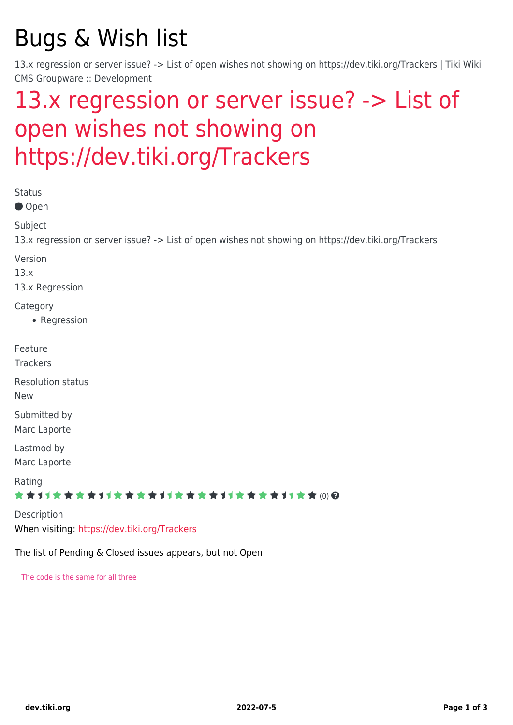# Bugs & Wish list

13.x regression or server issue? -> List of open wishes not showing on https://dev.tiki.org/Trackers | Tiki Wiki CMS Groupware :: Development

# [13.x regression or server issue? -> List of](https://dev.tiki.org/item5350-13-x-regression-or-server-issue-List-of-open-wishes-not-showing-on-https-dev-tiki-org-Trackers) [open wishes not showing on](https://dev.tiki.org/item5350-13-x-regression-or-server-issue-List-of-open-wishes-not-showing-on-https-dev-tiki-org-Trackers) [https://dev.tiki.org/Trackers](https://dev.tiki.org/item5350-13-x-regression-or-server-issue-List-of-open-wishes-not-showing-on-https-dev-tiki-org-Trackers)

| <b>Status</b><br>● Open                                                                                         |
|-----------------------------------------------------------------------------------------------------------------|
| Subject<br>13.x regression or server issue? -> List of open wishes not showing on https://dev.tiki.org/Trackers |
| Version<br>13.x<br>13.x Regression                                                                              |
| Category<br>• Regression                                                                                        |
| Feature<br><b>Trackers</b>                                                                                      |
| <b>Resolution status</b><br><b>New</b>                                                                          |
| Submitted by<br>Marc Laporte                                                                                    |
| Lastmod by<br>Marc Laporte                                                                                      |
| Rating<br>★★オオ★★★★オオ★★★★オオ★★★★オオ★★★★オオ★★⑷Q                                                                      |
| Description<br>When visiting: https://dev.tiki.org/Trackers                                                     |

The list of Pending & Closed issues appears, but not Open

The code is the same for all three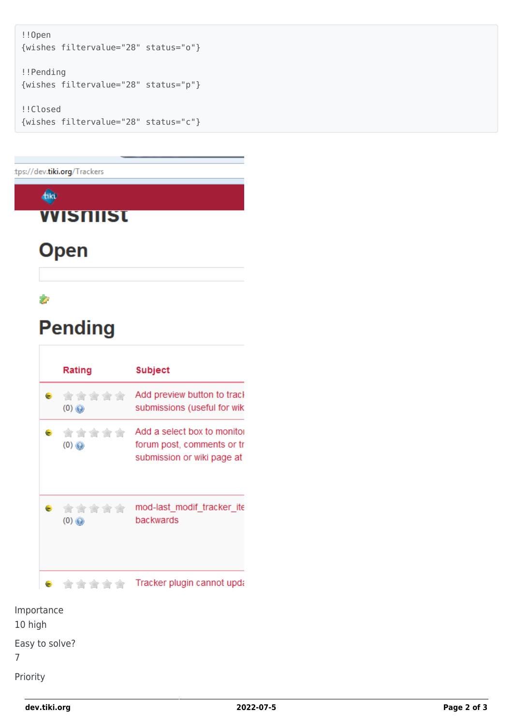```
!!Open
{wishes filtervalue="28" status="o"}
!!Pending
{wishes filtervalue="28" status="p"}
!!Closed
{wishes filtervalue="28" status="c"}
```
tps://dev.tiki.org/Trackers

#### $4k$

### **VVISNIIST**

# **Open**

#### Ż

# **Pending**

|                                   | Rating                   | <b>Subject</b>                                                                          |
|-----------------------------------|--------------------------|-----------------------------------------------------------------------------------------|
| . .                               | 含含含含含<br>$(0)$ $\odot$   | Add preview button to track<br>submissions (useful for wik                              |
| <b>Contract Contract Contract</b> | *****<br>$(0)$ $\odot$   | Add a select box to monitor<br>forum post, comments or tr<br>submission or wiki page at |
|                                   | . *****<br>$(0)$ $\odot$ | mod-last modif tracker ite<br>backwards                                                 |
|                                   | *****                    | Tracker plugin cannot upda                                                              |

Importance 10 high

Easy to solve? 7

Priority